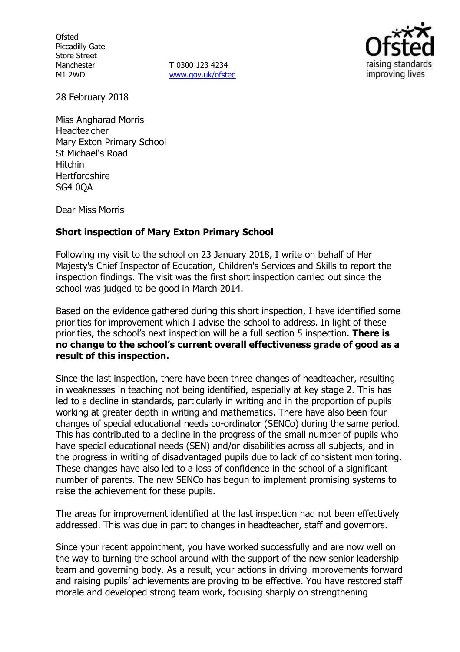**Ofsted** Piccadilly Gate Store Street Manchester M1 2WD

**T** 0300 123 4234 www.gov.uk/ofsted



28 February 2018

Miss Angharad Morris **Headteacher** Mary Exton Primary School St Michael's Road Hitchin **Hertfordshire** SG4 0QA

Dear Miss Morris

### **Short inspection of Mary Exton Primary School**

Following my visit to the school on 23 January 2018, I write on behalf of Her Majesty's Chief Inspector of Education, Children's Services and Skills to report the inspection findings. The visit was the first short inspection carried out since the school was judged to be good in March 2014.

Based on the evidence gathered during this short inspection, I have identified some priorities for improvement which I advise the school to address. In light of these priorities, the school's next inspection will be a full section 5 inspection. **There is no change to the school's current overall effectiveness grade of good as a result of this inspection.**

Since the last inspection, there have been three changes of headteacher, resulting in weaknesses in teaching not being identified, especially at key stage 2. This has led to a decline in standards, particularly in writing and in the proportion of pupils working at greater depth in writing and mathematics. There have also been four changes of special educational needs co-ordinator (SENCo) during the same period. This has contributed to a decline in the progress of the small number of pupils who have special educational needs (SEN) and/or disabilities across all subjects, and in the progress in writing of disadvantaged pupils due to lack of consistent monitoring. These changes have also led to a loss of confidence in the school of a significant number of parents. The new SENCo has begun to implement promising systems to raise the achievement for these pupils.

The areas for improvement identified at the last inspection had not been effectively addressed. This was due in part to changes in headteacher, staff and governors.

Since your recent appointment, you have worked successfully and are now well on the way to turning the school around with the support of the new senior leadership team and governing body. As a result, your actions in driving improvements forward and raising pupils' achievements are proving to be effective. You have restored staff morale and developed strong team work, focusing sharply on strengthening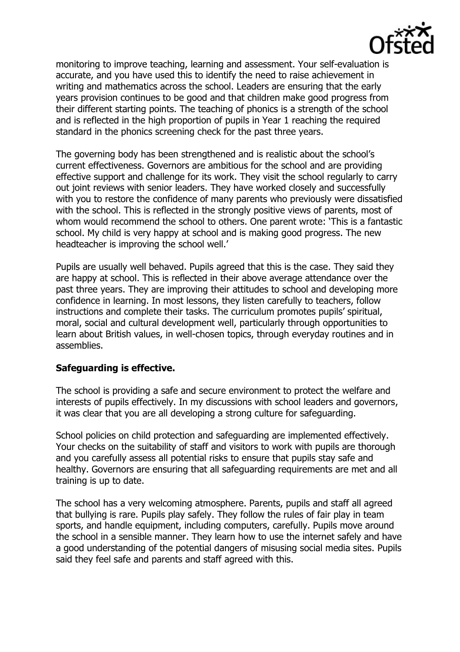

monitoring to improve teaching, learning and assessment. Your self-evaluation is accurate, and you have used this to identify the need to raise achievement in writing and mathematics across the school. Leaders are ensuring that the early years provision continues to be good and that children make good progress from their different starting points. The teaching of phonics is a strength of the school and is reflected in the high proportion of pupils in Year 1 reaching the required standard in the phonics screening check for the past three years.

The governing body has been strengthened and is realistic about the school's current effectiveness. Governors are ambitious for the school and are providing effective support and challenge for its work. They visit the school regularly to carry out joint reviews with senior leaders. They have worked closely and successfully with you to restore the confidence of many parents who previously were dissatisfied with the school. This is reflected in the strongly positive views of parents, most of whom would recommend the school to others. One parent wrote: 'This is a fantastic school. My child is very happy at school and is making good progress. The new headteacher is improving the school well.'

Pupils are usually well behaved. Pupils agreed that this is the case. They said they are happy at school. This is reflected in their above average attendance over the past three years. They are improving their attitudes to school and developing more confidence in learning. In most lessons, they listen carefully to teachers, follow instructions and complete their tasks. The curriculum promotes pupils' spiritual, moral, social and cultural development well, particularly through opportunities to learn about British values, in well-chosen topics, through everyday routines and in assemblies.

## **Safeguarding is effective.**

The school is providing a safe and secure environment to protect the welfare and interests of pupils effectively. In my discussions with school leaders and governors, it was clear that you are all developing a strong culture for safeguarding.

School policies on child protection and safeguarding are implemented effectively. Your checks on the suitability of staff and visitors to work with pupils are thorough and you carefully assess all potential risks to ensure that pupils stay safe and healthy. Governors are ensuring that all safeguarding requirements are met and all training is up to date.

The school has a very welcoming atmosphere. Parents, pupils and staff all agreed that bullying is rare. Pupils play safely. They follow the rules of fair play in team sports, and handle equipment, including computers, carefully. Pupils move around the school in a sensible manner. They learn how to use the internet safely and have a good understanding of the potential dangers of misusing social media sites. Pupils said they feel safe and parents and staff agreed with this.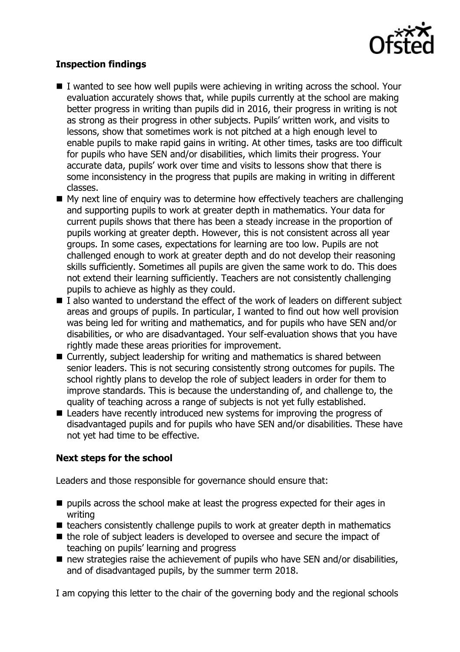

# **Inspection findings**

- $\blacksquare$  I wanted to see how well pupils were achieving in writing across the school. Your evaluation accurately shows that, while pupils currently at the school are making better progress in writing than pupils did in 2016, their progress in writing is not as strong as their progress in other subjects. Pupils' written work, and visits to lessons, show that sometimes work is not pitched at a high enough level to enable pupils to make rapid gains in writing. At other times, tasks are too difficult for pupils who have SEN and/or disabilities, which limits their progress. Your accurate data, pupils' work over time and visits to lessons show that there is some inconsistency in the progress that pupils are making in writing in different classes.
- $\blacksquare$  My next line of enquiry was to determine how effectively teachers are challenging and supporting pupils to work at greater depth in mathematics. Your data for current pupils shows that there has been a steady increase in the proportion of pupils working at greater depth. However, this is not consistent across all year groups. In some cases, expectations for learning are too low. Pupils are not challenged enough to work at greater depth and do not develop their reasoning skills sufficiently. Sometimes all pupils are given the same work to do. This does not extend their learning sufficiently. Teachers are not consistently challenging pupils to achieve as highly as they could.
- I also wanted to understand the effect of the work of leaders on different subject areas and groups of pupils. In particular, I wanted to find out how well provision was being led for writing and mathematics, and for pupils who have SEN and/or disabilities, or who are disadvantaged. Your self-evaluation shows that you have rightly made these areas priorities for improvement.
- Currently, subject leadership for writing and mathematics is shared between senior leaders. This is not securing consistently strong outcomes for pupils. The school rightly plans to develop the role of subject leaders in order for them to improve standards. This is because the understanding of, and challenge to, the quality of teaching across a range of subjects is not yet fully established.
- Leaders have recently introduced new systems for improving the progress of disadvantaged pupils and for pupils who have SEN and/or disabilities. These have not yet had time to be effective.

## **Next steps for the school**

Leaders and those responsible for governance should ensure that:

- $\blacksquare$  pupils across the school make at least the progress expected for their ages in writing
- $\blacksquare$  teachers consistently challenge pupils to work at greater depth in mathematics
- the role of subject leaders is developed to oversee and secure the impact of teaching on pupils' learning and progress
- $\blacksquare$  new strategies raise the achievement of pupils who have SEN and/or disabilities, and of disadvantaged pupils, by the summer term 2018.

I am copying this letter to the chair of the governing body and the regional schools